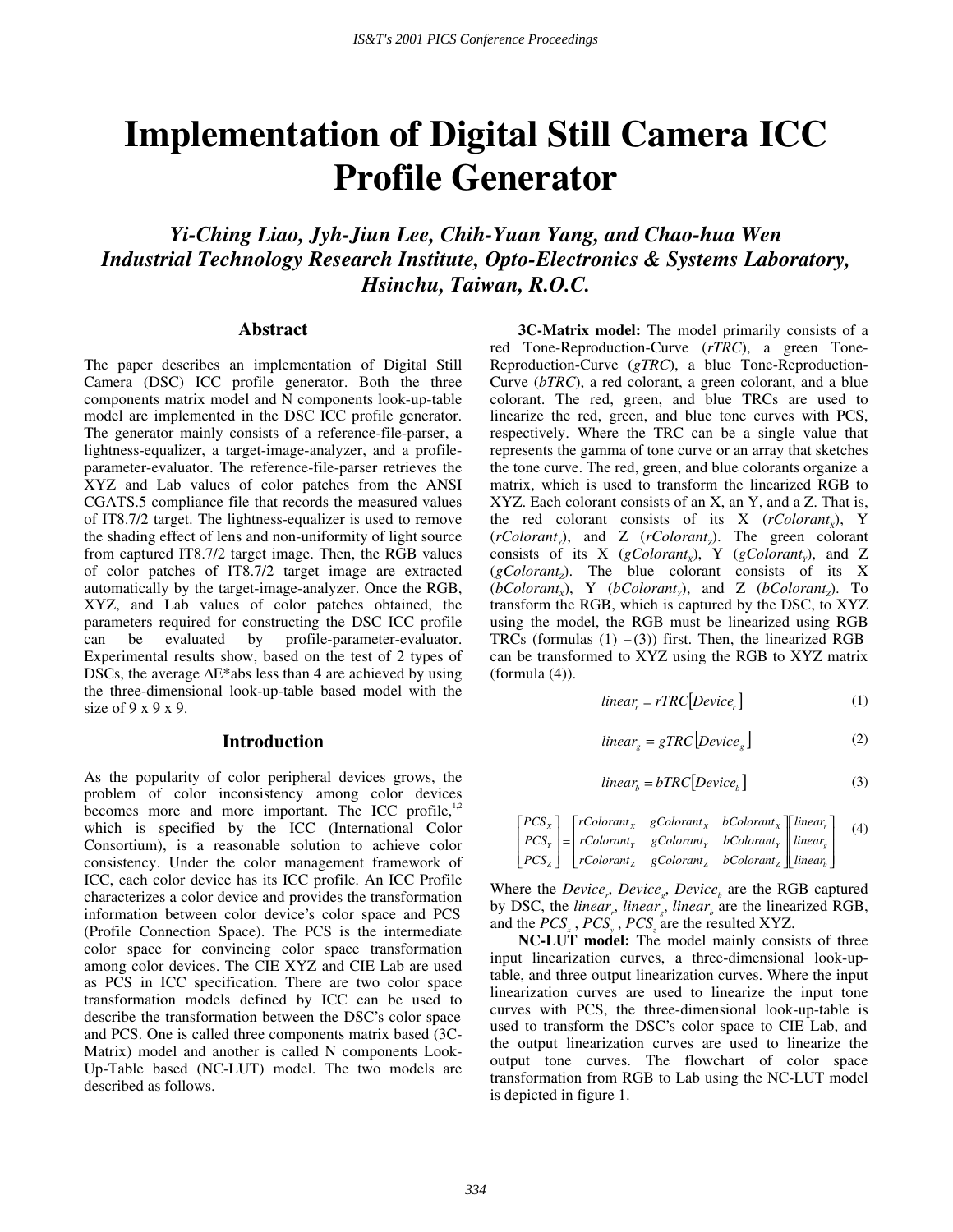# **Implementation of Digital Still Camera ICC Profile Generator**

*Yi-Ching Liao, Jyh-Jiun Lee, Chih-Yuan Yang, and Chao-hua Wen Industrial Technology Research Institute, Opto-Electronics & Systems Laboratory, Hsinchu, Taiwan, R.O.C.* 

### **Abstract**

The paper describes an implementation of Digital Still Camera (DSC) ICC profile generator. Both the three components matrix model and N components look-up-table model are implemented in the DSC ICC profile generator. The generator mainly consists of a reference-file-parser, a lightness-equalizer, a target-image-analyzer, and a profileparameter-evaluator. The reference-file-parser retrieves the XYZ and Lab values of color patches from the ANSI CGATS.5 compliance file that records the measured values of IT8.7/2 target. The lightness-equalizer is used to remove the shading effect of lens and non-uniformity of light source from captured IT8.7/2 target image. Then, the RGB values of color patches of IT8.7/2 target image are extracted automatically by the target-image-analyzer. Once the RGB, XYZ, and Lab values of color patches obtained, the parameters required for constructing the DSC ICC profile can be evaluated by profile-parameter-evaluator. Experimental results show, based on the test of 2 types of DSCs, the average ∆E\*abs less than 4 are achieved by using the three-dimensional look-up-table based model with the size of 9 x 9 x 9.

## **Introduction**

As the popularity of color peripheral devices grows, the problem of color inconsistency among color devices becomes more and more important. The ICC profile, $1,2$ which is specified by the ICC (International Color Consortium), is a reasonable solution to achieve color consistency. Under the color management framework of ICC, each color device has its ICC profile. An ICC Profile characterizes a color device and provides the transformation information between color device's color space and PCS (Profile Connection Space). The PCS is the intermediate color space for convincing color space transformation among color devices. The CIE XYZ and CIE Lab are used as PCS in ICC specification. There are two color space transformation models defined by ICC can be used to describe the transformation between the DSC's color space and PCS. One is called three components matrix based (3C-Matrix) model and another is called N components Look-Up-Table based (NC-LUT) model. The two models are described as follows.

**3C-Matrix model:** The model primarily consists of a red Tone-Reproduction-Curve (*rTRC*), a green Tone-Reproduction-Curve (*gTRC*), a blue Tone-Reproduction-Curve (*bTRC*), a red colorant, a green colorant, and a blue colorant. The red, green, and blue TRCs are used to linearize the red, green, and blue tone curves with PCS, respectively. Where the TRC can be a single value that represents the gamma of tone curve or an array that sketches the tone curve. The red, green, and blue colorants organize a matrix, which is used to transform the linearized RGB to XYZ. Each colorant consists of an X, an Y, and a Z. That is, the red colorant consists of its  $X$  ( $rColorant_{y}$ ), Y (*rColorant<sub>v</sub>*), and Z (*rColorant<sub>7</sub>*). The green colorant consists of its X ( $gColorant_x$ ), Y ( $gColorant_y$ ), and Z  $(gColorant<sub>z</sub>)$ . The blue colorant consists of its X  $(bColorant_x)$ , Y  $(bColorant_y)$ , and Z  $(bColorant_z)$ . To transform the RGB, which is captured by the DSC, to XYZ using the model, the RGB must be linearized using RGB TRCs (formulas  $(1)$  – $(3)$ ) first. Then, the linearized RGB can be transformed to XYZ using the RGB to XYZ matrix (formula (4)).

$$
linear_r = rTRC[Device_r]
$$
 (1)

$$
linear_{g} = gTRC[Device_{g}]
$$
 (2)

$$
linear_b = bTRC[Device_b]
$$
 (3)

$$
\begin{bmatrix} PCs_x \\ PCs_y \\ PCs_z \end{bmatrix} = \begin{bmatrix} rColorant_x & gColorant_x & bColorant_x \\ rColorant_y & gColorant_y & bColorant_y \\ rColorant_z & gColorant_z & bColorant_z \end{bmatrix} \begin{bmatrix} linear_x \\ linear_y \\ linear_z \end{bmatrix} \tag{4}
$$

Where the *Device<sub>r</sub>*, *Device<sub>g</sub>*, *Device<sub>b</sub>* are the RGB captured by DSC, the *linear*, *linear*<sup>*f*</sup>, *linear<sub><i>b*</sub></sub> are the linearized RGB, and the  $PCS_x$ ,  $PCS_y$ ,  $PCS_z$  are the resulted XYZ.

**NC-LUT model:** The model mainly consists of three input linearization curves, a three-dimensional look-uptable, and three output linearization curves. Where the input linearization curves are used to linearize the input tone curves with PCS, the three-dimensional look-up-table is used to transform the DSC's color space to CIE Lab, and the output linearization curves are used to linearize the output tone curves. The flowchart of color space transformation from RGB to Lab using the NC-LUT model is depicted in figure 1.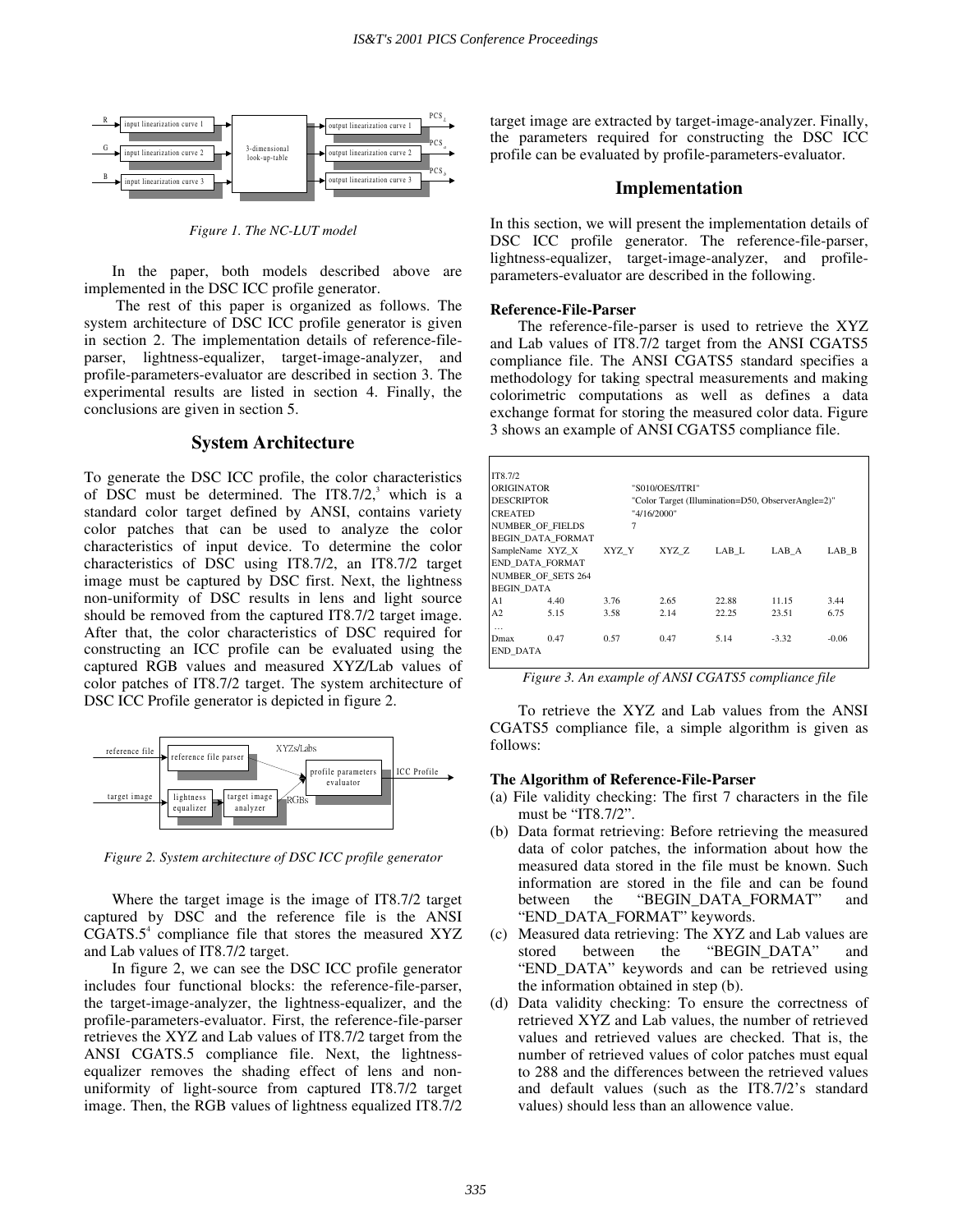

*Figure 1. The NC-LUT model* 

In the paper, both models described above are implemented in the DSC ICC profile generator.

 The rest of this paper is organized as follows. The system architecture of DSC ICC profile generator is given in section 2. The implementation details of reference-fileparser, lightness-equalizer, target-image-analyzer, and profile-parameters-evaluator are described in section 3. The experimental results are listed in section 4. Finally, the conclusions are given in section 5.

## **System Architecture**

To generate the DSC ICC profile, the color characteristics of DSC must be determined. The IT8.7/2, $3$  which is a standard color target defined by ANSI, contains variety color patches that can be used to analyze the color characteristics of input device. To determine the color characteristics of DSC using IT8.7/2, an IT8.7/2 target image must be captured by DSC first. Next, the lightness non-uniformity of DSC results in lens and light source should be removed from the captured IT8.7/2 target image. After that, the color characteristics of DSC required for constructing an ICC profile can be evaluated using the captured RGB values and measured XYZ/Lab values of color patches of IT8.7/2 target. The system architecture of DSC ICC Profile generator is depicted in figure 2.



*Figure 2. System architecture of DSC ICC profile generator* 

Where the target image is the image of IT8.7/2 target captured by DSC and the reference file is the ANSI  $CGATS.5<sup>4</sup>$  compliance file that stores the measured XYZ and Lab values of IT8.7/2 target.

In figure 2, we can see the DSC ICC profile generator includes four functional blocks: the reference-file-parser, the target-image-analyzer, the lightness-equalizer, and the profile-parameters-evaluator. First, the reference-file-parser retrieves the XYZ and Lab values of IT8.7/2 target from the ANSI CGATS.5 compliance file. Next, the lightnessequalizer removes the shading effect of lens and nonuniformity of light-source from captured IT8.7/2 target image. Then, the RGB values of lightness equalized IT8.7/2 target image are extracted by target-image-analyzer. Finally, the parameters required for constructing the DSC ICC profile can be evaluated by profile-parameters-evaluator.

## **Implementation**

In this section, we will present the implementation details of DSC ICC profile generator. The reference-file-parser, lightness-equalizer, target-image-analyzer, and profileparameters-evaluator are described in the following.

#### **Reference-File-Parser**

The reference-file-parser is used to retrieve the XYZ and Lab values of IT8.7/2 target from the ANSI CGATS5 compliance file. The ANSI CGATS5 standard specifies a methodology for taking spectral measurements and making colorimetric computations as well as defines a data exchange format for storing the measured color data. Figure 3 shows an example of ANSI CGATS5 compliance file.

|                | IT8.7/2                   |                                                    |             |                 |       |         |         |  |
|----------------|---------------------------|----------------------------------------------------|-------------|-----------------|-------|---------|---------|--|
|                | <b>ORIGINATOR</b>         |                                                    |             | "S010/OES/ITRI" |       |         |         |  |
|                | <b>DESCRIPTOR</b>         | "Color Target (Illumination=D50, ObserverAngle=2)" |             |                 |       |         |         |  |
| <b>CREATED</b> |                           |                                                    | "4/16/2000" |                 |       |         |         |  |
|                | <b>NUMBER OF FIELDS</b>   |                                                    | 7           |                 |       |         |         |  |
|                | <b>BEGIN DATA FORMAT</b>  |                                                    |             |                 |       |         |         |  |
|                | SampleName XYZ X          |                                                    | XYZ Y       | XYZ Z           | LAB L | LAB A   | LAB B   |  |
|                | END DATA FORMAT           |                                                    |             |                 |       |         |         |  |
|                | <b>NUMBER OF SETS 264</b> |                                                    |             |                 |       |         |         |  |
|                | <b>BEGIN DATA</b>         |                                                    |             |                 |       |         |         |  |
|                | A1                        | 4.40                                               | 3.76        | 2.65            | 22.88 | 11.15   | 3.44    |  |
|                | A <sub>2</sub>            | 5.15                                               | 3.58        | 2.14            | 22.25 | 23.51   | 6.75    |  |
|                | $\cdots$                  |                                                    |             |                 |       |         |         |  |
|                | Dmax                      | 0.47                                               | 0.57        | 0.47            | 5.14  | $-3.32$ | $-0.06$ |  |
|                | <b>END DATA</b>           |                                                    |             |                 |       |         |         |  |
|                |                           |                                                    |             |                 |       |         |         |  |

*Figure 3. An example of ANSI CGATS5 compliance file* 

To retrieve the XYZ and Lab values from the ANSI CGATS5 compliance file, a simple algorithm is given as follows:

#### **The Algorithm of Reference-File-Parser**

- (a) File validity checking: The first 7 characters in the file must be "IT8.7/2".
- (b) Data format retrieving: Before retrieving the measured data of color patches, the information about how the measured data stored in the file must be known. Such information are stored in the file and can be found between the "BEGIN DATA FORMAT" and "END\_DATA\_FORMAT" keywords.
- (c) Measured data retrieving: The XYZ and Lab values are stored between the "BEGIN\_DATA" and "END\_DATA" keywords and can be retrieved using the information obtained in step (b).
- (d) Data validity checking: To ensure the correctness of retrieved XYZ and Lab values, the number of retrieved values and retrieved values are checked. That is, the number of retrieved values of color patches must equal to 288 and the differences between the retrieved values and default values (such as the IT8.7/2's standard values) should less than an allowence value.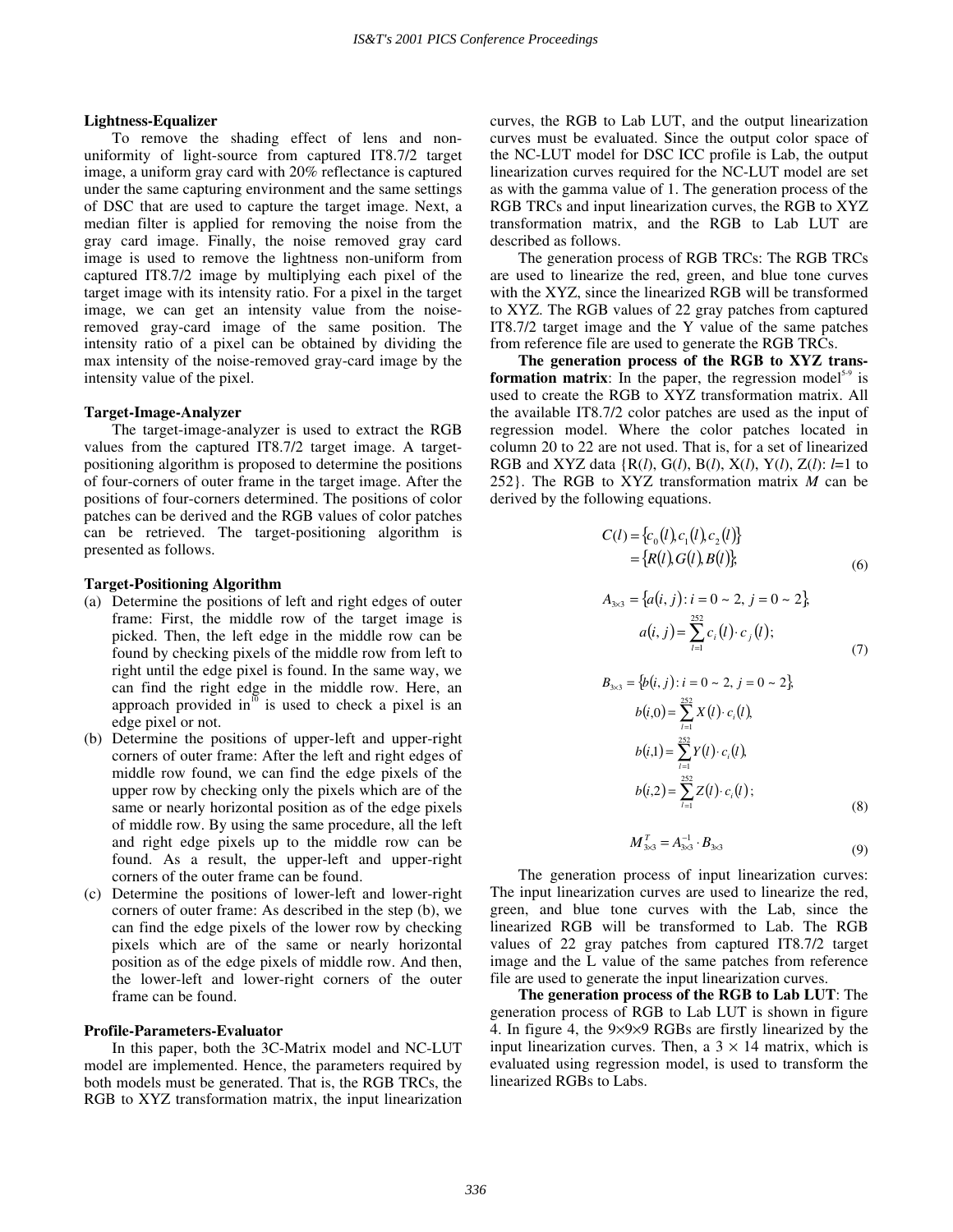#### **Lightness-Equalizer**

To remove the shading effect of lens and nonuniformity of light-source from captured IT8.7/2 target image, a uniform gray card with 20% reflectance is captured under the same capturing environment and the same settings of DSC that are used to capture the target image. Next, a median filter is applied for removing the noise from the gray card image. Finally, the noise removed gray card image is used to remove the lightness non-uniform from captured IT8.7/2 image by multiplying each pixel of the target image with its intensity ratio. For a pixel in the target image, we can get an intensity value from the noiseremoved gray-card image of the same position. The intensity ratio of a pixel can be obtained by dividing the max intensity of the noise-removed gray-card image by the intensity value of the pixel.

#### **Target-Image-Analyzer**

The target-image-analyzer is used to extract the RGB values from the captured IT8.7/2 target image. A targetpositioning algorithm is proposed to determine the positions of four-corners of outer frame in the target image. After the positions of four-corners determined. The positions of color patches can be derived and the RGB values of color patches can be retrieved. The target-positioning algorithm is presented as follows.

#### **Target-Positioning Algorithm**

- (a) Determine the positions of left and right edges of outer frame: First, the middle row of the target image is picked. Then, the left edge in the middle row can be found by checking pixels of the middle row from left to right until the edge pixel is found. In the same way, we can find the right edge in the middle row. Here, an approach provided in $^{10}$  is used to check a pixel is an edge pixel or not.
- (b) Determine the positions of upper-left and upper-right corners of outer frame: After the left and right edges of middle row found, we can find the edge pixels of the upper row by checking only the pixels which are of the same or nearly horizontal position as of the edge pixels of middle row. By using the same procedure, all the left and right edge pixels up to the middle row can be found. As a result, the upper-left and upper-right corners of the outer frame can be found.
- (c) Determine the positions of lower-left and lower-right corners of outer frame: As described in the step (b), we can find the edge pixels of the lower row by checking pixels which are of the same or nearly horizontal position as of the edge pixels of middle row. And then, the lower-left and lower-right corners of the outer frame can be found.

#### **Profile-Parameters-Evaluator**

In this paper, both the 3C-Matrix model and NC-LUT model are implemented. Hence, the parameters required by both models must be generated. That is, the RGB TRCs, the RGB to XYZ transformation matrix, the input linearization curves, the RGB to Lab LUT, and the output linearization curves must be evaluated. Since the output color space of the NC-LUT model for DSC ICC profile is Lab, the output linearization curves required for the NC-LUT model are set as with the gamma value of 1. The generation process of the RGB TRCs and input linearization curves, the RGB to XYZ transformation matrix, and the RGB to Lab LUT are described as follows.

The generation process of RGB TRCs: The RGB TRCs are used to linearize the red, green, and blue tone curves with the XYZ, since the linearized RGB will be transformed to XYZ. The RGB values of 22 gray patches from captured IT8.7/2 target image and the Y value of the same patches from reference file are used to generate the RGB TRCs.

**The generation process of the RGB to XYZ transformation matrix**: In the paper, the regression model<sup>5-9</sup> is used to create the RGB to XYZ transformation matrix. All the available IT8.7/2 color patches are used as the input of regression model. Where the color patches located in column 20 to 22 are not used. That is, for a set of linearized RGB and XYZ data {R(*l*), G(*l*), B(*l*), X(*l*), Y(*l*), Z(*l*): *l*=1 to 252}. The RGB to XYZ transformation matrix *M* can be derived by the following equations.

$$
C(l) = \{c_0(l), c_1(l), c_2(l)\}
$$
  
=  $\{R(l), G(l), B(l)\}$  (6)

$$
A_{3\times 3} = \{a(i, j) : i = 0 \sim 2, j = 0 \sim 2\},
$$
  
\n
$$
a(i, j) = \sum_{l=1}^{252} c_i(l) \cdot c_j(l);
$$
\n(7)

$$
B_{3\times 3} = \{b(i, j) : i = 0 \sim 2, j = 0 \sim 2\},
$$
  
\n
$$
b(i, 0) = \sum_{i=1}^{252} X(i) \cdot c_i(i),
$$
  
\n
$$
b(i, 1) = \sum_{i=1}^{252} Y(i) \cdot c_i(i),
$$
  
\n
$$
b(i, 2) = \sum_{i=1}^{252} Z(i) \cdot c_i(i);
$$
  
\n(8)

$$
M_{3\times 3}^T = A_{3\times 3}^{-1} \cdot B_{3\times 3} \tag{9}
$$

The generation process of input linearization curves: The input linearization curves are used to linearize the red, green, and blue tone curves with the Lab, since the linearized RGB will be transformed to Lab. The RGB values of 22 gray patches from captured IT8.7/2 target image and the L value of the same patches from reference file are used to generate the input linearization curves.

**The generation process of the RGB to Lab LUT**: The generation process of RGB to Lab LUT is shown in figure 4. In figure 4, the 9×9×9 RGBs are firstly linearized by the input linearization curves. Then, a  $3 \times 14$  matrix, which is evaluated using regression model, is used to transform the linearized RGBs to Labs.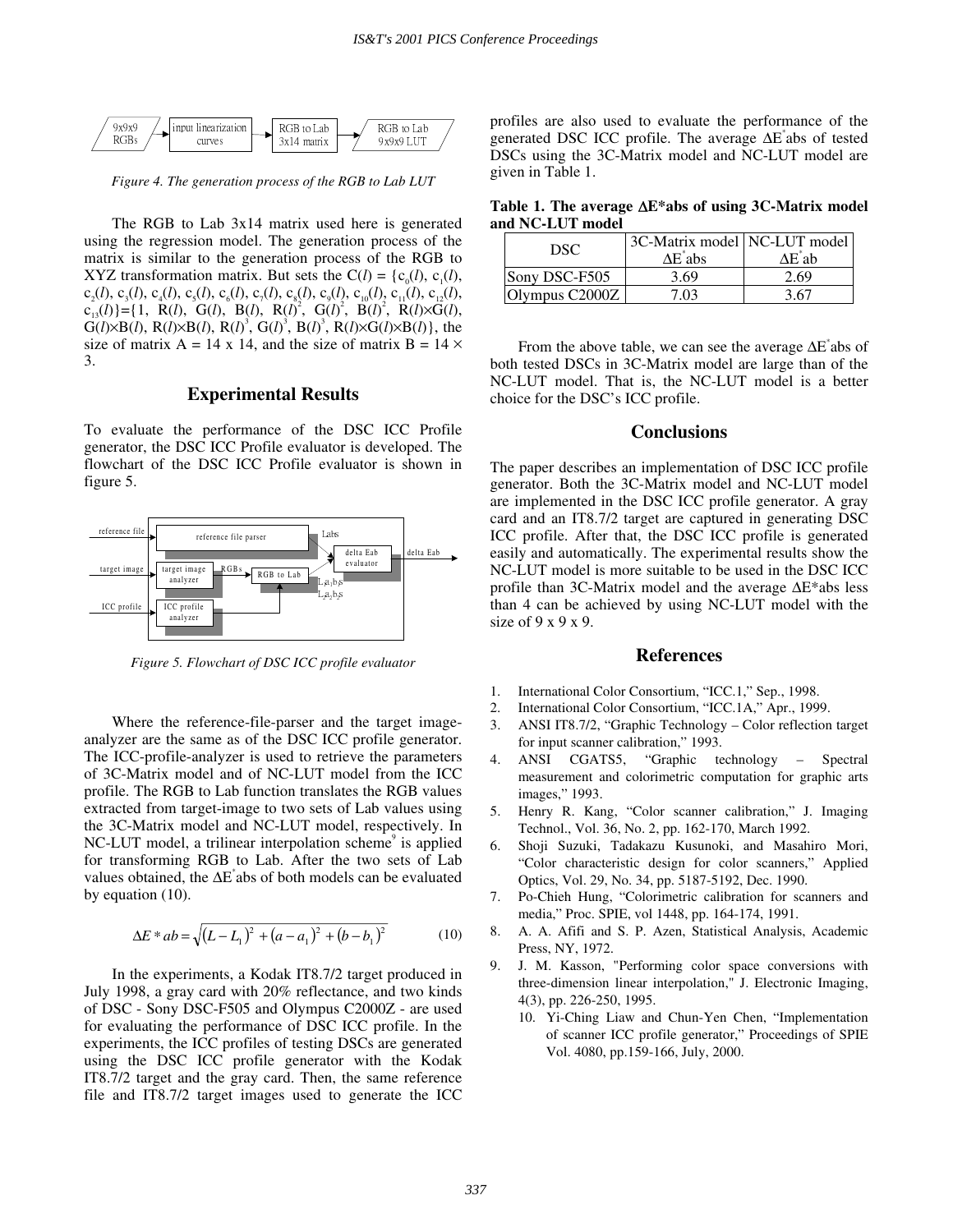

*Figure 4. The generation process of the RGB to Lab LUT* 

The RGB to Lab 3x14 matrix used here is generated using the regression model. The generation process of the matrix is similar to the generation process of the RGB to XYZ transformation matrix. But sets the  $C(l) = \{c_0(l), c_1(l),$  $c_2(l), c_3(l), c_4(l), c_5(l), c_6(l), c_7(l), c_8(l), c_9(l), c_{10}(l), c_{11}(l), c_{12}(l),$  $c_{13}(l)$ } = {1, R(*l*), G(*l*), B(*l*), R(*l*)<sup>2</sup>, G(*l*)<sup>2</sup>, B(*l*)<sup>2</sup>, R(*l*)×G(*l*),  $G(l)\times B(l)$ ,  $R(l)\times B(l)$ ,  $R(l)^3$ ,  $G(l)^3$ ,  $B(l)^3$ ,  $R(l)\times G(l)\times B(l)$ , the size of matrix  $A = 14 \times 14$ , and the size of matrix  $B = 14 \times$ 3.

## **Experimental Results**

To evaluate the performance of the DSC ICC Profile generator, the DSC ICC Profile evaluator is developed. The flowchart of the DSC ICC Profile evaluator is shown in figure 5.



*Figure 5. Flowchart of DSC ICC profile evaluator* 

Where the reference-file-parser and the target imageanalyzer are the same as of the DSC ICC profile generator. The ICC-profile-analyzer is used to retrieve the parameters of 3C-Matrix model and of NC-LUT model from the ICC profile. The RGB to Lab function translates the RGB values extracted from target-image to two sets of Lab values using the 3C-Matrix model and NC-LUT model, respectively. In NC-LUT model, a trilinear interpolation scheme<sup>9</sup> is applied for transforming RGB to Lab. After the two sets of Lab values obtained, the ∆E\* abs of both models can be evaluated by equation (10).

$$
\Delta E * ab = \sqrt{(L - L_1)^2 + (a - a_1)^2 + (b - b_1)^2}
$$
 (10)

In the experiments, a Kodak IT8.7/2 target produced in July 1998, a gray card with 20% reflectance, and two kinds of DSC - Sony DSC-F505 and Olympus C2000Z - are used for evaluating the performance of DSC ICC profile. In the experiments, the ICC profiles of testing DSCs are generated using the DSC ICC profile generator with the Kodak IT8.7/2 target and the gray card. Then, the same reference file and IT8.7/2 target images used to generate the ICC profiles are also used to evaluate the performance of the generated DSC ICC profile. The average ∆E\* abs of tested DSCs using the 3C-Matrix model and NC-LUT model are given in Table 1.

**Table 1. The average** ∆**E\*abs of using 3C-Matrix model and NC-LUT model** 

| DSC.           | 3C-Matrix model NC-LUT model<br>$\Delta E^*$ abs | ∆E*ab |  |
|----------------|--------------------------------------------------|-------|--|
| Sony DSC-F505  | 3.69                                             | 2.69  |  |
| Olympus C2000Z | 7.03                                             | 3.67  |  |

From the above table, we can see the average ∆E<sup>\*</sup>abs of both tested DSCs in 3C-Matrix model are large than of the NC-LUT model. That is, the NC-LUT model is a better choice for the DSC's ICC profile.

## **Conclusions**

The paper describes an implementation of DSC ICC profile generator. Both the 3C-Matrix model and NC-LUT model are implemented in the DSC ICC profile generator. A gray card and an IT8.7/2 target are captured in generating DSC ICC profile. After that, the DSC ICC profile is generated easily and automatically. The experimental results show the NC-LUT model is more suitable to be used in the DSC ICC profile than 3C-Matrix model and the average ∆E\*abs less than 4 can be achieved by using NC-LUT model with the size of 9 x 9 x 9.

#### **References**

- 1. International Color Consortium, "ICC.1," Sep., 1998.
- 2. International Color Consortium, " ICC.1A," Apr., 1999.
- 3. ANSI IT8.7/2, "Graphic Technology Color reflection target for input scanner calibration," 1993.
- 4. ANSI CGATS5, "Graphic technology Spectral measurement and colorimetric computation for graphic arts images," 1993.
- 5. Henry R. Kang, "Color scanner calibration," J. Imaging Technol., Vol. 36, No. 2, pp. 162-170, March 1992.
- 6. Shoji Suzuki, Tadakazu Kusunoki, and Masahiro Mori, " Color characteristic design for color scanners," Applied Optics, Vol. 29, No. 34, pp. 5187-5192, Dec. 1990.
- 7. Po-Chieh Hung, "Colorimetric calibration for scanners and media," Proc. SPIE, vol 1448, pp. 164-174, 1991.
- 8. A. A. Afifi and S. P. Azen, Statistical Analysis, Academic Press, NY, 1972.
- 9. J. M. Kasson, "Performing color space conversions with three-dimension linear interpolation," J. Electronic Imaging, 4(3), pp. 226-250, 1995.
	- 10. Yi-Ching Liaw and Chun-Yen Chen, "Implementation of scanner ICC profile generator," Proceedings of SPIE Vol. 4080, pp.159-166, July, 2000.